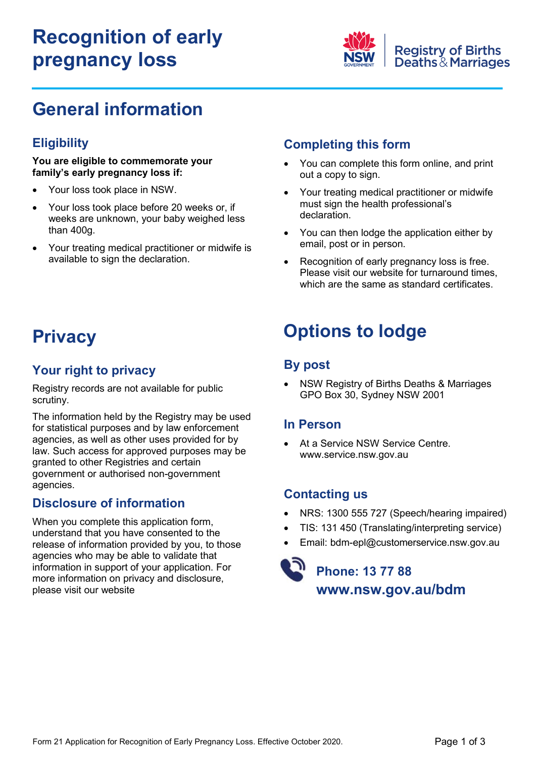# **Recognition of early pregnancy loss**



## **General information**

## **Eligibility**

#### **You are eligible to commemorate your family's early pregnancy loss if:**

- Your loss took place in NSW.
- Your loss took place before 20 weeks or, if weeks are unknown, your baby weighed less than 400g.
- Your treating medical practitioner or midwife is available to sign the declaration.

## **Completing this form**

- x You can complete this form online, and print out a copy to sign.
- Your treating medical practitioner or midwife must sign the health professional's declaration.
- You can then lodge the application either by email, post or in person.
- Recognition of early pregnancy loss is free. Please visit our website for turnaround times, which are the same as standard certificates.

## **Privacy**

## **Your right to privacy**

Registry records are not available for public scrutiny.

The information held by the Registry may be used for statistical purposes and by law enforcement agencies, as well as other uses provided for by law. Such access for approved purposes may be granted to other Registries and certain government or authorised non-government agencies.

### **Disclosure of information**

When you complete this application form, understand that you have consented to the release of information provided by you, to those agencies who may be able to validate that information in support of your application. For more information on privacy and disclosure, please visit our website

# **Options to lodge**

## **By post**

NSW Registry of Births Deaths & Marriages GPO Box 30, Sydney NSW 2001

### **In Person**

At a Service NSW Service Centre. www.service.nsw.gov.au

## **Contacting us**

- x NRS: 1300 555 727 (Speech/hearing impaired)
- TIS: 131 450 (Translating/interpreting service)
- Email: bdm-epl@customerservice.nsw.gov.au

## **Phone: 13 77 88**  www.nsw.gov.au/bdm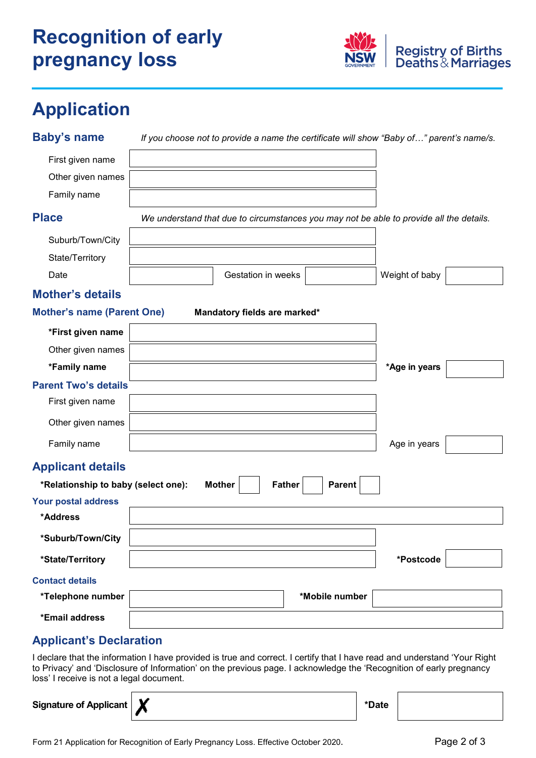# **Recognition of early pregnancy loss**



# **Application**

| <b>Baby's name</b>                  | If you choose not to provide a name the certificate will show "Baby of" parent's name/s. |                |  |
|-------------------------------------|------------------------------------------------------------------------------------------|----------------|--|
| First given name                    |                                                                                          |                |  |
| Other given names                   |                                                                                          |                |  |
| Family name                         |                                                                                          |                |  |
| <b>Place</b>                        | We understand that due to circumstances you may not be able to provide all the details.  |                |  |
| Suburb/Town/City                    |                                                                                          |                |  |
| State/Territory                     |                                                                                          |                |  |
| Date                                | <b>Gestation in weeks</b>                                                                | Weight of baby |  |
| <b>Mother's details</b>             |                                                                                          |                |  |
| <b>Mother's name (Parent One)</b>   | Mandatory fields are marked*                                                             |                |  |
| *First given name                   |                                                                                          |                |  |
| Other given names                   |                                                                                          |                |  |
| *Family name                        |                                                                                          | *Age in years  |  |
| <b>Parent Two's details</b>         |                                                                                          |                |  |
| First given name                    |                                                                                          |                |  |
| Other given names                   |                                                                                          |                |  |
| Family name                         |                                                                                          | Age in years   |  |
| <b>Applicant details</b>            |                                                                                          |                |  |
| *Relationship to baby (select one): | Parent<br><b>Mother</b><br><b>Father</b>                                                 |                |  |
| <b>Your postal address</b>          |                                                                                          |                |  |
| *Address                            |                                                                                          |                |  |
| *Suburb/Town/City                   |                                                                                          |                |  |
| *State/Territory                    |                                                                                          | *Postcode      |  |
| <b>Contact details</b>              |                                                                                          |                |  |
| *Telephone number                   | *Mobile number                                                                           |                |  |
| *Email address                      |                                                                                          |                |  |
| <b>Applicant's Declaration</b>      |                                                                                          |                |  |

I declare that the information I have provided is true and correct. I certify that I have read and understand 'Your Right to Privacy' and 'Disclosure of Information' on the previous page. I acknowledge the 'Recognition of early pregnancy loss' I receive is not a legal document.

**Signature of Applicant X** and *the set of the set of the set of the set of the set of the set of the set of the set of the set of the set of the set of the set of the set of the set of the set of the set of the set of t*